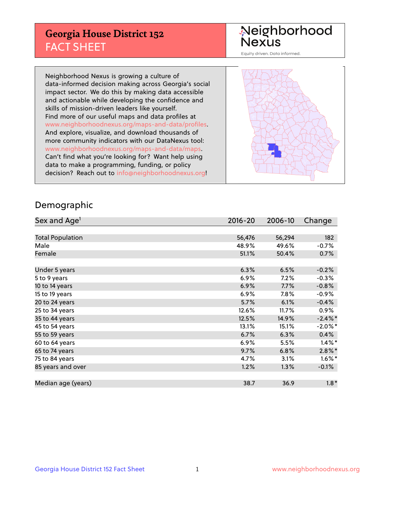## **Georgia House District 152** FACT SHEET

# Neighborhood<br>Nexus

Equity driven. Data informed.

Neighborhood Nexus is growing a culture of data-informed decision making across Georgia's social impact sector. We do this by making data accessible and actionable while developing the confidence and skills of mission-driven leaders like yourself. Find more of our useful maps and data profiles at www.neighborhoodnexus.org/maps-and-data/profiles. And explore, visualize, and download thousands of more community indicators with our DataNexus tool: www.neighborhoodnexus.org/maps-and-data/maps. Can't find what you're looking for? Want help using data to make a programming, funding, or policy decision? Reach out to [info@neighborhoodnexus.org!](mailto:info@neighborhoodnexus.org)



#### Demographic

| Sex and Age <sup>1</sup> | $2016 - 20$ | 2006-10 | Change     |
|--------------------------|-------------|---------|------------|
|                          |             |         |            |
| <b>Total Population</b>  | 56,476      | 56,294  | 182        |
| Male                     | 48.9%       | 49.6%   | $-0.7%$    |
| Female                   | 51.1%       | 50.4%   | 0.7%       |
|                          |             |         |            |
| Under 5 years            | 6.3%        | 6.5%    | $-0.2%$    |
| 5 to 9 years             | $6.9\%$     | 7.2%    | $-0.3%$    |
| 10 to 14 years           | 6.9%        | 7.7%    | $-0.8%$    |
| 15 to 19 years           | 6.9%        | 7.8%    | $-0.9%$    |
| 20 to 24 years           | 5.7%        | 6.1%    | $-0.4%$    |
| 25 to 34 years           | 12.6%       | 11.7%   | $0.9\%$    |
| 35 to 44 years           | 12.5%       | 14.9%   | $-2.4\%$ * |
| 45 to 54 years           | 13.1%       | 15.1%   | $-2.0\%$ * |
| 55 to 59 years           | 6.7%        | 6.3%    | 0.4%       |
| 60 to 64 years           | $6.9\%$     | 5.5%    | $1.4\%$ *  |
| 65 to 74 years           | 9.7%        | 6.8%    | $2.8\%$ *  |
| 75 to 84 years           | 4.7%        | 3.1%    | $1.6\%$ *  |
| 85 years and over        | 1.2%        | 1.3%    | $-0.1%$    |
|                          |             |         |            |
| Median age (years)       | 38.7        | 36.9    | $1.8*$     |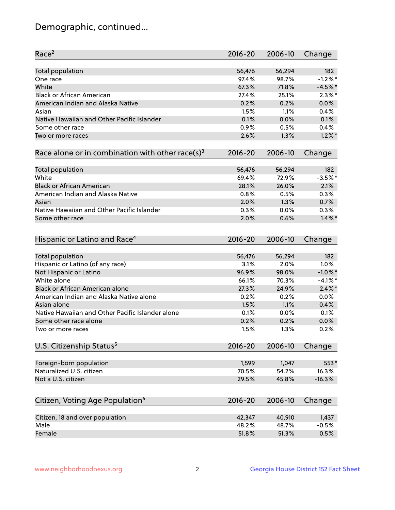## Demographic, continued...

| Race <sup>2</sup>                                            | $2016 - 20$ | 2006-10 | Change     |
|--------------------------------------------------------------|-------------|---------|------------|
| <b>Total population</b>                                      | 56,476      | 56,294  | 182        |
| One race                                                     | 97.4%       | 98.7%   | $-1.2%$ *  |
| White                                                        | 67.3%       | 71.8%   | $-4.5%$ *  |
| <b>Black or African American</b>                             | 27.4%       | 25.1%   | $2.3\%$ *  |
| American Indian and Alaska Native                            | 0.2%        | 0.2%    | 0.0%       |
| Asian                                                        | 1.5%        | 1.1%    | 0.4%       |
| Native Hawaiian and Other Pacific Islander                   | 0.1%        | 0.0%    | 0.1%       |
| Some other race                                              | 0.9%        | 0.5%    | 0.4%       |
| Two or more races                                            | 2.6%        | 1.3%    | $1.2\%$ *  |
|                                                              |             |         |            |
| Race alone or in combination with other race(s) <sup>3</sup> | $2016 - 20$ | 2006-10 | Change     |
| Total population                                             | 56,476      | 56,294  | 182        |
| White                                                        | 69.4%       | 72.9%   | $-3.5%$ *  |
| <b>Black or African American</b>                             | 28.1%       | 26.0%   | 2.1%       |
| American Indian and Alaska Native                            | 0.8%        | 0.5%    | 0.3%       |
| Asian                                                        | 2.0%        | 1.3%    | 0.7%       |
| Native Hawaiian and Other Pacific Islander                   | 0.3%        | 0.0%    | 0.3%       |
| Some other race                                              | 2.0%        | 0.6%    | $1.4\%$ *  |
|                                                              |             |         |            |
| Hispanic or Latino and Race <sup>4</sup>                     | $2016 - 20$ | 2006-10 | Change     |
| <b>Total population</b>                                      | 56,476      | 56,294  | 182        |
| Hispanic or Latino (of any race)                             | 3.1%        | 2.0%    | 1.0%       |
| Not Hispanic or Latino                                       | 96.9%       | 98.0%   | $-1.0\%$ * |
| White alone                                                  | 66.1%       | 70.3%   | $-4.1%$ *  |
| Black or African American alone                              | 27.3%       | 24.9%   | $2.4\%$ *  |
| American Indian and Alaska Native alone                      | 0.2%        | 0.2%    | 0.0%       |
| Asian alone                                                  | 1.5%        | 1.1%    | 0.4%       |
| Native Hawaiian and Other Pacific Islander alone             | 0.1%        | 0.0%    | 0.1%       |
| Some other race alone                                        | 0.2%        | 0.2%    | 0.0%       |
| Two or more races                                            | 1.5%        | 1.3%    | 0.2%       |
|                                                              |             |         |            |
| U.S. Citizenship Status <sup>5</sup>                         | $2016 - 20$ | 2006-10 | Change     |
| Foreign-born population                                      | 1,599       | 1,047   | 553*       |
| Naturalized U.S. citizen                                     | 70.5%       | 54.2%   | 16.3%      |
| Not a U.S. citizen                                           | 29.5%       | 45.8%   | $-16.3%$   |
|                                                              |             |         |            |
| Citizen, Voting Age Population <sup>6</sup>                  | $2016 - 20$ | 2006-10 | Change     |
|                                                              |             |         |            |
| Citizen, 18 and over population                              | 42,347      | 40,910  | 1,437      |
| Male                                                         | 48.2%       | 48.7%   | $-0.5%$    |
| Female                                                       | 51.8%       | 51.3%   | 0.5%       |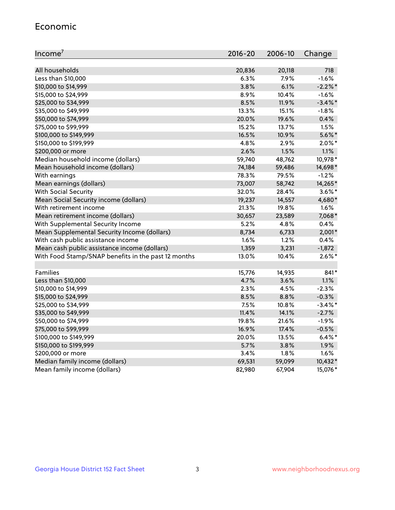#### Economic

| Income <sup>7</sup>                                 | 2016-20 | 2006-10 | Change     |
|-----------------------------------------------------|---------|---------|------------|
|                                                     |         |         |            |
| All households                                      | 20,836  | 20,118  | 718        |
| Less than \$10,000                                  | 6.3%    | 7.9%    | $-1.6%$    |
| \$10,000 to \$14,999                                | 3.8%    | 6.1%    | $-2.2%$    |
| \$15,000 to \$24,999                                | 8.9%    | 10.4%   | $-1.6%$    |
| \$25,000 to \$34,999                                | 8.5%    | 11.9%   | $-3.4\%$ * |
| \$35,000 to \$49,999                                | 13.3%   | 15.1%   | $-1.8%$    |
| \$50,000 to \$74,999                                | 20.0%   | 19.6%   | 0.4%       |
| \$75,000 to \$99,999                                | 15.2%   | 13.7%   | 1.5%       |
| \$100,000 to \$149,999                              | 16.5%   | 10.9%   | $5.6\%$ *  |
| \$150,000 to \$199,999                              | 4.8%    | 2.9%    | $2.0\%$ *  |
| \$200,000 or more                                   | 2.6%    | 1.5%    | 1.1%       |
| Median household income (dollars)                   | 59,740  | 48,762  | 10,978*    |
| Mean household income (dollars)                     | 74,184  | 59,486  | 14,698*    |
| With earnings                                       | 78.3%   | 79.5%   | $-1.2%$    |
| Mean earnings (dollars)                             | 73,007  | 58,742  | 14,265*    |
| <b>With Social Security</b>                         | 32.0%   | 28.4%   | $3.6\%$ *  |
| Mean Social Security income (dollars)               | 19,237  | 14,557  | 4,680*     |
| With retirement income                              | 21.3%   | 19.8%   | 1.6%       |
| Mean retirement income (dollars)                    | 30,657  | 23,589  | 7,068*     |
| With Supplemental Security Income                   | 5.2%    | 4.8%    | 0.4%       |
| Mean Supplemental Security Income (dollars)         | 8,734   | 6,733   | $2,001*$   |
| With cash public assistance income                  | 1.6%    | 1.2%    | 0.4%       |
| Mean cash public assistance income (dollars)        | 1,359   | 3,231   | $-1,872$   |
| With Food Stamp/SNAP benefits in the past 12 months | 13.0%   | 10.4%   | $2.6\%$ *  |
|                                                     |         |         |            |
| Families                                            | 15,776  | 14,935  | 841*       |
| Less than \$10,000                                  | 4.7%    | 3.6%    | 1.1%       |
| \$10,000 to \$14,999                                | 2.3%    | 4.5%    | $-2.3%$    |
| \$15,000 to \$24,999                                | 8.5%    | 8.8%    | $-0.3%$    |
| \$25,000 to \$34,999                                | 7.5%    | 10.8%   | $-3.4\%$ * |
| \$35,000 to \$49,999                                | 11.4%   | 14.1%   | $-2.7%$    |
| \$50,000 to \$74,999                                | 19.8%   | 21.6%   | $-1.9%$    |
| \$75,000 to \$99,999                                | 16.9%   | 17.4%   | $-0.5%$    |
| \$100,000 to \$149,999                              | 20.0%   | 13.5%   | $6.4\%$ *  |
| \$150,000 to \$199,999                              | 5.7%    | 3.8%    | 1.9%       |
| \$200,000 or more                                   | 3.4%    | 1.8%    | 1.6%       |
| Median family income (dollars)                      | 69,531  | 59,099  | 10,432*    |
| Mean family income (dollars)                        | 82,980  | 67,904  | 15,076*    |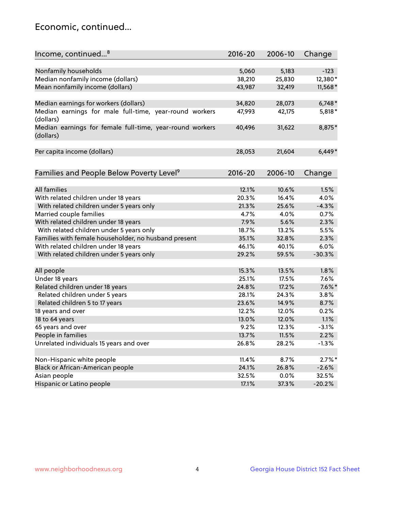## Economic, continued...

| Income, continued <sup>8</sup>                                        | $2016 - 20$   | 2006-10 | Change    |
|-----------------------------------------------------------------------|---------------|---------|-----------|
|                                                                       |               |         |           |
| Nonfamily households                                                  | 5,060         | 5,183   | $-123$    |
| Median nonfamily income (dollars)                                     | 38,210        | 25,830  | 12,380*   |
| Mean nonfamily income (dollars)                                       | 43,987        | 32,419  | 11,568*   |
| Median earnings for workers (dollars)                                 | 34,820        | 28,073  | $6,748*$  |
| Median earnings for male full-time, year-round workers                | 47,993        | 42,175  | 5,818*    |
| (dollars)                                                             |               |         |           |
| Median earnings for female full-time, year-round workers<br>(dollars) | 40,496        | 31,622  | 8,875*    |
| Per capita income (dollars)                                           | 28,053        | 21,604  | $6,449*$  |
|                                                                       |               |         |           |
| Families and People Below Poverty Level <sup>9</sup>                  | 2016-20       | 2006-10 | Change    |
|                                                                       |               |         |           |
| <b>All families</b>                                                   | 12.1%         | 10.6%   | 1.5%      |
| With related children under 18 years                                  | 20.3%         | 16.4%   | 4.0%      |
| With related children under 5 years only                              | 21.3%         | 25.6%   | $-4.3%$   |
| Married couple families                                               | 4.7%          | 4.0%    | 0.7%      |
| With related children under 18 years                                  | 7.9%          | 5.6%    | 2.3%      |
| With related children under 5 years only                              | 18.7%         | 13.2%   | 5.5%      |
| Families with female householder, no husband present                  | 35.1%         | 32.8%   | 2.3%      |
| With related children under 18 years                                  | 46.1%         | 40.1%   | 6.0%      |
| With related children under 5 years only                              | 29.2%         | 59.5%   | $-30.3%$  |
| All people                                                            | 15.3%         | 13.5%   | 1.8%      |
| Under 18 years                                                        | 25.1%         | 17.5%   | 7.6%      |
| Related children under 18 years                                       | 24.8%         | 17.2%   | $7.6\%$ * |
| Related children under 5 years                                        | 28.1%         | 24.3%   | 3.8%      |
| Related children 5 to 17 years                                        | 23.6%         | 14.9%   | 8.7%      |
| 18 years and over                                                     | 12.2%         | 12.0%   | 0.2%      |
| 18 to 64 years                                                        |               |         | 1.1%      |
|                                                                       | 13.0%<br>9.2% | 12.0%   |           |
| 65 years and over                                                     |               | 12.3%   | $-3.1%$   |
| People in families                                                    | 13.7%         | 11.5%   | 2.2%      |
| Unrelated individuals 15 years and over                               | 26.8%         | 28.2%   | $-1.3%$   |
|                                                                       |               |         |           |
| Non-Hispanic white people                                             | 11.4%         | 8.7%    | $2.7\%$ * |
| Black or African-American people                                      | 24.1%         | 26.8%   | $-2.6%$   |
| Asian people                                                          | 32.5%         | 0.0%    | 32.5%     |
| Hispanic or Latino people                                             | 17.1%         | 37.3%   | $-20.2%$  |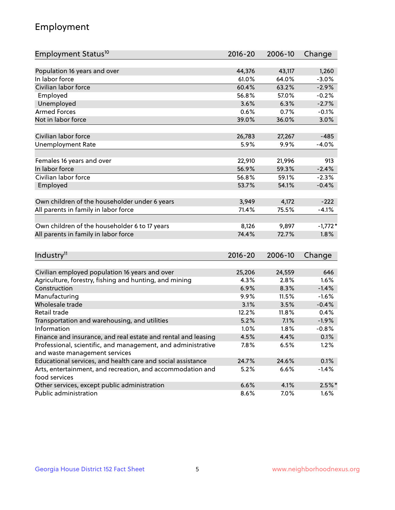## Employment

| Employment Status <sup>10</sup>                                             | 2016-20         | 2006-10 | Change    |
|-----------------------------------------------------------------------------|-----------------|---------|-----------|
|                                                                             |                 |         |           |
| Population 16 years and over                                                | 44,376          | 43,117  | 1,260     |
| In labor force                                                              | 61.0%           | 64.0%   | $-3.0%$   |
| Civilian labor force                                                        | 60.4%           | 63.2%   | $-2.9%$   |
| Employed                                                                    | 56.8%           | 57.0%   | $-0.2%$   |
| Unemployed                                                                  | 3.6%            | 6.3%    | $-2.7%$   |
| <b>Armed Forces</b>                                                         | 0.6%            | 0.7%    | $-0.1%$   |
| Not in labor force                                                          | 39.0%           | 36.0%   | 3.0%      |
|                                                                             |                 |         |           |
| Civilian labor force                                                        | 26,783          | 27,267  | $-485$    |
| <b>Unemployment Rate</b>                                                    | 5.9%            | 9.9%    | $-4.0%$   |
|                                                                             |                 |         |           |
| Females 16 years and over<br>In labor force                                 | 22,910<br>56.9% | 21,996  | 913       |
|                                                                             |                 | 59.3%   | $-2.4%$   |
| Civilian labor force                                                        | 56.8%           | 59.1%   | $-2.3%$   |
| Employed                                                                    | 53.7%           | 54.1%   | $-0.4%$   |
| Own children of the householder under 6 years                               | 3,949           | 4,172   | $-222$    |
| All parents in family in labor force                                        | 71.4%           | 75.5%   | $-4.1%$   |
|                                                                             |                 |         |           |
| Own children of the householder 6 to 17 years                               | 8,126           | 9,897   | $-1,772*$ |
| All parents in family in labor force                                        | 74.4%           | 72.7%   | 1.8%      |
|                                                                             |                 |         |           |
| Industry <sup>11</sup>                                                      | $2016 - 20$     | 2006-10 | Change    |
|                                                                             |                 |         |           |
| Civilian employed population 16 years and over                              | 25,206          | 24,559  | 646       |
| Agriculture, forestry, fishing and hunting, and mining                      | 4.3%            | 2.8%    | 1.6%      |
| Construction                                                                | 6.9%            | 8.3%    | $-1.4%$   |
| Manufacturing                                                               | 9.9%            | 11.5%   | $-1.6%$   |
| Wholesale trade                                                             | 3.1%            | 3.5%    | $-0.4%$   |
| Retail trade                                                                | 12.2%           | 11.8%   | 0.4%      |
| Transportation and warehousing, and utilities                               | 5.2%            | 7.1%    | $-1.9%$   |
| Information                                                                 | 1.0%            | 1.8%    | $-0.8%$   |
| Finance and insurance, and real estate and rental and leasing               | 4.5%            | 4.4%    | 0.1%      |
| Professional, scientific, and management, and administrative                | 7.8%            | 6.5%    | 1.2%      |
| and waste management services                                               |                 |         |           |
| Educational services, and health care and social assistance                 | 24.7%           | 24.6%   | 0.1%      |
| Arts, entertainment, and recreation, and accommodation and<br>food services | 5.2%            | 6.6%    | $-1.4%$   |
| Other services, except public administration                                | 6.6%            | 4.1%    | $2.5%$ *  |
| Public administration                                                       | 8.6%            | 7.0%    | $1.6\%$   |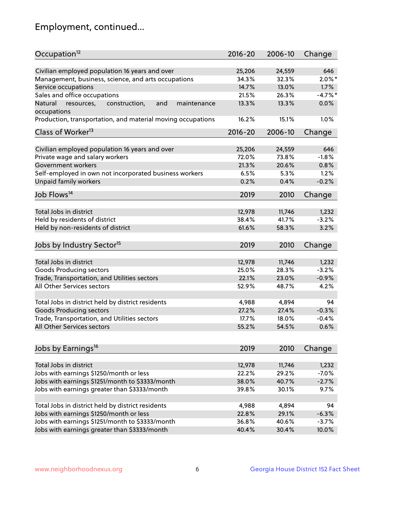## Employment, continued...

| Occupation <sup>12</sup>                                                    | $2016 - 20$ | 2006-10 | Change    |
|-----------------------------------------------------------------------------|-------------|---------|-----------|
| Civilian employed population 16 years and over                              | 25,206      | 24,559  | 646       |
| Management, business, science, and arts occupations                         | 34.3%       | 32.3%   | $2.0\%$ * |
| Service occupations                                                         | 14.7%       | 13.0%   | 1.7%      |
| Sales and office occupations                                                | 21.5%       | 26.3%   | $-4.7%$   |
|                                                                             |             |         | 0.0%      |
| Natural<br>and<br>resources,<br>construction,<br>maintenance<br>occupations | 13.3%       | 13.3%   |           |
| Production, transportation, and material moving occupations                 | 16.2%       | 15.1%   | 1.0%      |
| Class of Worker <sup>13</sup>                                               | $2016 - 20$ | 2006-10 | Change    |
|                                                                             |             |         |           |
| Civilian employed population 16 years and over                              | 25,206      | 24,559  | 646       |
| Private wage and salary workers                                             | 72.0%       | 73.8%   | $-1.8%$   |
| Government workers                                                          | 21.3%       | 20.6%   | 0.8%      |
| Self-employed in own not incorporated business workers                      | 6.5%        | 5.3%    | 1.2%      |
| <b>Unpaid family workers</b>                                                | 0.2%        | 0.4%    | $-0.2%$   |
| Job Flows <sup>14</sup>                                                     | 2019        | 2010    | Change    |
|                                                                             |             |         |           |
| Total Jobs in district                                                      | 12,978      | 11,746  | 1,232     |
| Held by residents of district                                               | 38.4%       | 41.7%   | $-3.2%$   |
| Held by non-residents of district                                           | 61.6%       | 58.3%   | 3.2%      |
|                                                                             |             |         |           |
| Jobs by Industry Sector <sup>15</sup>                                       | 2019        | 2010    | Change    |
| Total Jobs in district                                                      | 12,978      | 11,746  | 1,232     |
| Goods Producing sectors                                                     | 25.0%       | 28.3%   | $-3.2%$   |
| Trade, Transportation, and Utilities sectors                                | 22.1%       | 23.0%   | $-0.9%$   |
| All Other Services sectors                                                  | 52.9%       | 48.7%   | 4.2%      |
|                                                                             |             |         |           |
| Total Jobs in district held by district residents                           | 4,988       | 4,894   | 94        |
| <b>Goods Producing sectors</b>                                              | 27.2%       | 27.4%   | $-0.3%$   |
| Trade, Transportation, and Utilities sectors                                | 17.7%       | 18.0%   | $-0.4%$   |
| All Other Services sectors                                                  | 55.2%       | 54.5%   | 0.6%      |
|                                                                             |             |         |           |
| Jobs by Earnings <sup>16</sup>                                              | 2019        | 2010    | Change    |
|                                                                             |             |         |           |
| Total Jobs in district                                                      | 12,978      | 11,746  | 1,232     |
| Jobs with earnings \$1250/month or less                                     | 22.2%       | 29.2%   | $-7.0%$   |
| Jobs with earnings \$1251/month to \$3333/month                             | 38.0%       | 40.7%   | $-2.7%$   |
| Jobs with earnings greater than \$3333/month                                | 39.8%       | 30.1%   | 9.7%      |
| Total Jobs in district held by district residents                           | 4,988       | 4,894   | 94        |
| Jobs with earnings \$1250/month or less                                     | 22.8%       | 29.1%   | $-6.3%$   |
| Jobs with earnings \$1251/month to \$3333/month                             | 36.8%       | 40.6%   |           |
|                                                                             |             |         | $-3.7%$   |
| Jobs with earnings greater than \$3333/month                                | 40.4%       | 30.4%   | 10.0%     |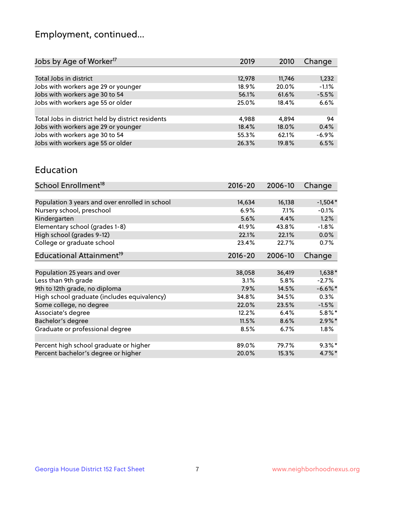## Employment, continued...

| 2019   | 2010   | Change  |
|--------|--------|---------|
|        |        |         |
| 12,978 | 11,746 | 1,232   |
| 18.9%  | 20.0%  | $-1.1%$ |
| 56.1%  | 61.6%  | $-5.5%$ |
| 25.0%  | 18.4%  | 6.6%    |
|        |        |         |
| 4.988  | 4.894  | 94      |
| 18.4%  | 18.0%  | 0.4%    |
| 55.3%  | 62.1%  | $-6.9%$ |
| 26.3%  | 19.8%  | 6.5%    |
|        |        |         |

#### Education

| School Enrollment <sup>18</sup>                | $2016 - 20$ | 2006-10 | Change     |
|------------------------------------------------|-------------|---------|------------|
|                                                |             |         |            |
| Population 3 years and over enrolled in school | 14,634      | 16,138  | $-1,504*$  |
| Nursery school, preschool                      | $6.9\%$     | 7.1%    | $-0.1%$    |
| Kindergarten                                   | 5.6%        | 4.4%    | 1.2%       |
| Elementary school (grades 1-8)                 | 41.9%       | 43.8%   | $-1.8%$    |
| High school (grades 9-12)                      | 22.1%       | 22.1%   | $0.0\%$    |
| College or graduate school                     | 23.4%       | 22.7%   | 0.7%       |
| Educational Attainment <sup>19</sup>           | $2016 - 20$ | 2006-10 | Change     |
|                                                |             |         |            |
| Population 25 years and over                   | 38,058      | 36,419  | $1,638*$   |
| Less than 9th grade                            | 3.1%        | 5.8%    | $-2.7%$    |
| 9th to 12th grade, no diploma                  | 7.9%        | 14.5%   | $-6.6\%$ * |
| High school graduate (includes equivalency)    | 34.8%       | 34.5%   | $0.3\%$    |
| Some college, no degree                        | 22.0%       | 23.5%   | $-1.5%$    |
| Associate's degree                             | 12.2%       | 6.4%    | $5.8\%$ *  |
| Bachelor's degree                              | 11.5%       | 8.6%    | $2.9\%$ *  |
| Graduate or professional degree                | 8.5%        | $6.7\%$ | $1.8\%$    |
|                                                |             |         |            |
| Percent high school graduate or higher         | 89.0%       | 79.7%   | $9.3\%$ *  |
| Percent bachelor's degree or higher            | 20.0%       | 15.3%   | $4.7\%$ *  |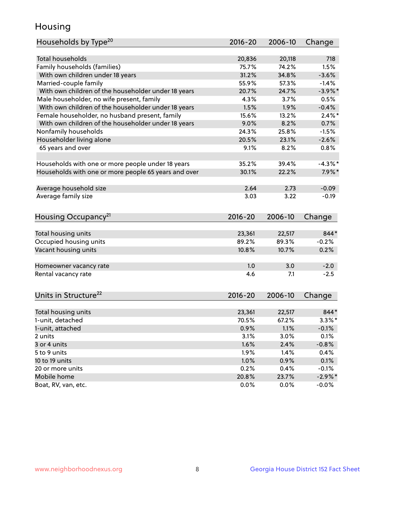## Housing

| Households by Type <sup>20</sup>                     | 2016-20         | 2006-10         | Change     |
|------------------------------------------------------|-----------------|-----------------|------------|
|                                                      |                 |                 |            |
| <b>Total households</b>                              | 20,836          | 20,118          | 718        |
| Family households (families)                         | 75.7%           | 74.2%           | 1.5%       |
| With own children under 18 years                     | 31.2%           | 34.8%           | $-3.6%$    |
| Married-couple family                                | 55.9%           | 57.3%           | $-1.4%$    |
| With own children of the householder under 18 years  | 20.7%           | 24.7%           | $-3.9\%$ * |
| Male householder, no wife present, family            | 4.3%            | 3.7%            | 0.5%       |
| With own children of the householder under 18 years  | 1.5%            | 1.9%            | $-0.4%$    |
| Female householder, no husband present, family       | 15.6%           | 13.2%           | $2.4\%$ *  |
| With own children of the householder under 18 years  | 9.0%            | 8.2%            | 0.7%       |
| Nonfamily households                                 | 24.3%           | 25.8%           | $-1.5%$    |
| Householder living alone                             | 20.5%           | 23.1%           | $-2.6%$    |
| 65 years and over                                    | 9.1%            | 8.2%            | 0.8%       |
|                                                      |                 |                 |            |
| Households with one or more people under 18 years    | 35.2%           | 39.4%           | $-4.3\%$ * |
| Households with one or more people 65 years and over | 30.1%           | 22.2%           | $7.9\%$ *  |
|                                                      |                 |                 |            |
| Average household size                               | 2.64            | 2.73            | $-0.09$    |
| Average family size                                  | 3.03            | 3.22            | $-0.19$    |
|                                                      |                 |                 |            |
| Housing Occupancy <sup>21</sup>                      | $2016 - 20$     | 2006-10         | Change     |
|                                                      |                 |                 | 844*       |
| Total housing units                                  | 23,361<br>89.2% | 22,517<br>89.3% | $-0.2%$    |
| Occupied housing units                               |                 |                 |            |
| Vacant housing units                                 | 10.8%           | 10.7%           | 0.2%       |
| Homeowner vacancy rate                               | 1.0             | 3.0             | $-2.0$     |
| Rental vacancy rate                                  | 4.6             | 7.1             | $-2.5$     |
|                                                      |                 |                 |            |
| Units in Structure <sup>22</sup>                     | 2016-20         | 2006-10         | Change     |
|                                                      |                 |                 |            |
| Total housing units                                  | 23,361          | 22,517          | 844*       |
| 1-unit, detached                                     | 70.5%           | 67.2%           | $3.3\%$ *  |
| 1-unit, attached                                     | 0.9%            | 1.1%            | $-0.1%$    |
| 2 units                                              | 3.1%            | 3.0%            | 0.1%       |
| 3 or 4 units                                         | 1.6%            | 2.4%            | $-0.8%$    |
| 5 to 9 units                                         | 1.9%            | 1.4%            | 0.4%       |
| 10 to 19 units                                       | 1.0%            | 0.9%            | 0.1%       |
| 20 or more units                                     | 0.2%            | 0.4%            | $-0.1%$    |
| Mobile home                                          | 20.8%           | 23.7%           | $-2.9\%$ * |
| Boat, RV, van, etc.                                  | 0.0%            | 0.0%            | $-0.0\%$   |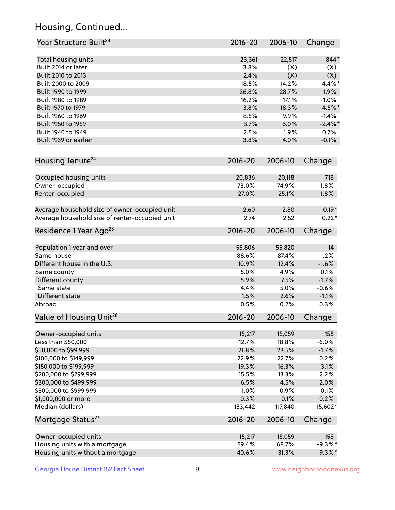## Housing, Continued...

| Year Structure Built <sup>23</sup>                    | 2016-20         | 2006-10         | Change            |
|-------------------------------------------------------|-----------------|-----------------|-------------------|
| Total housing units                                   | 23,361          | 22,517          | 844*              |
| Built 2014 or later                                   | 3.8%            | (X)             | (X)               |
| Built 2010 to 2013                                    | 2.4%            | (X)             | (X)               |
| Built 2000 to 2009                                    | 18.5%           | 14.2%           | 4.4%*             |
| Built 1990 to 1999                                    | 26.8%           | 28.7%           | $-1.9%$           |
| Built 1980 to 1989                                    | 16.2%           | 17.1%           | $-1.0%$           |
| Built 1970 to 1979                                    | 13.8%           | 18.3%           | $-4.5%$ *         |
| Built 1960 to 1969                                    | 8.5%            | 9.9%            | $-1.4%$           |
| Built 1950 to 1959                                    | 3.7%            | 6.0%            | $-2.4\%$ *        |
| Built 1940 to 1949                                    | 2.5%            | 1.9%            | 0.7%              |
| Built 1939 or earlier                                 | 3.8%            | 4.0%            | $-0.1%$           |
| Housing Tenure <sup>24</sup>                          | $2016 - 20$     | 2006-10         | Change            |
|                                                       |                 |                 |                   |
| Occupied housing units                                | 20,836          | 20,118          | 718               |
| Owner-occupied                                        | 73.0%           | 74.9%           | $-1.8%$           |
| Renter-occupied                                       | 27.0%           | 25.1%           | 1.8%              |
| Average household size of owner-occupied unit         | 2.60            | 2.80            | $-0.19*$          |
| Average household size of renter-occupied unit        | 2.74            | 2.52            | $0.22*$           |
| Residence 1 Year Ago <sup>25</sup>                    | $2016 - 20$     | 2006-10         | Change            |
| Population 1 year and over                            | 55,806          | 55,820          | $-14$             |
| Same house                                            | 88.6%           | 87.4%           | 1.2%              |
| Different house in the U.S.                           | 10.9%           | 12.4%           | $-1.6%$           |
| Same county                                           | 5.0%            | 4.9%            | 0.1%              |
| Different county                                      | 5.9%            | 7.5%            | $-1.7%$           |
| Same state                                            | 4.4%            | 5.0%            | $-0.6%$           |
| Different state                                       | 1.5%            | 2.6%            | $-1.1%$           |
| Abroad                                                | 0.5%            | 0.2%            | 0.3%              |
| Value of Housing Unit <sup>26</sup>                   | $2016 - 20$     | 2006-10         | Change            |
| Owner-occupied units                                  | 15,217          | 15,059          | 158               |
| Less than \$50,000                                    | 12.7%           | 18.8%           | $-6.0%$           |
| \$50,000 to \$99,999                                  | 21.8%           | 23.5%           | $-1.7%$           |
| \$100,000 to \$149,999                                | 22.9%           | 22.7%           | 0.2%              |
| \$150,000 to \$199,999                                | 19.3%           | 16.3%           | 3.1%              |
| \$200,000 to \$299,999                                | 15.5%           | 13.3%           | 2.2%              |
| \$300,000 to \$499,999                                | 6.5%            | 4.5%            | 2.0%              |
| \$500,000 to \$999,999                                | 1.0%            | 0.9%            | 0.1%              |
| \$1,000,000 or more                                   | 0.3%            | 0.1%            | 0.2%              |
| Median (dollars)                                      | 133,442         | 117,840         | 15,602*           |
| Mortgage Status <sup>27</sup>                         | $2016 - 20$     | 2006-10         | Change            |
|                                                       |                 |                 |                   |
| Owner-occupied units<br>Housing units with a mortgage | 15,217<br>59.4% | 15,059<br>68.7% | 158<br>$-9.3\%$ * |
|                                                       |                 |                 |                   |
| Housing units without a mortgage                      | 40.6%           | 31.3%           | $9.3\%$ *         |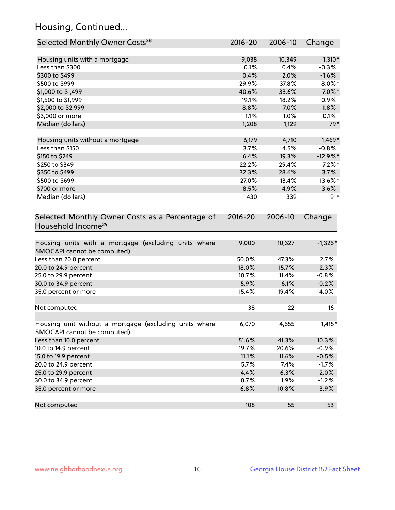## Housing, Continued...

| Selected Monthly Owner Costs <sup>28</sup>                                            | 2016-20     | 2006-10 | Change      |
|---------------------------------------------------------------------------------------|-------------|---------|-------------|
| Housing units with a mortgage                                                         | 9,038       | 10,349  | $-1,310*$   |
| Less than \$300                                                                       | 0.1%        | 0.4%    | $-0.3%$     |
| \$300 to \$499                                                                        | 0.4%        | 2.0%    | $-1.6%$     |
| \$500 to \$999                                                                        | 29.9%       | 37.8%   | $-8.0\%$ *  |
| \$1,000 to \$1,499                                                                    | 40.6%       | 33.6%   | $7.0\%$ *   |
| \$1,500 to \$1,999                                                                    | 19.1%       | 18.2%   | $0.9\%$     |
| \$2,000 to \$2,999                                                                    | 8.8%        | 7.0%    | 1.8%        |
| \$3,000 or more                                                                       | 1.1%        | 1.0%    | 0.1%        |
| Median (dollars)                                                                      | 1,208       | 1,129   | $79*$       |
| Housing units without a mortgage                                                      | 6,179       | 4,710   | $1,469*$    |
| Less than \$150                                                                       | 3.7%        | 4.5%    | $-0.8%$     |
| \$150 to \$249                                                                        | 6.4%        | 19.3%   | $-12.9\%$ * |
| \$250 to \$349                                                                        | 22.2%       | 29.4%   | $-7.2%$     |
| \$350 to \$499                                                                        | 32.3%       | 28.6%   | 3.7%        |
| \$500 to \$699                                                                        | 27.0%       | 13.4%   | 13.6%*      |
| \$700 or more                                                                         | 8.5%        | 4.9%    | 3.6%        |
| Median (dollars)                                                                      | 430         | 339     | $91*$       |
| Selected Monthly Owner Costs as a Percentage of<br>Household Income <sup>29</sup>     | $2016 - 20$ | 2006-10 | Change      |
| Housing units with a mortgage (excluding units where<br>SMOCAPI cannot be computed)   | 9,000       | 10,327  | $-1,326*$   |
| Less than 20.0 percent                                                                | 50.0%       | 47.3%   | 2.7%        |
| 20.0 to 24.9 percent                                                                  | 18.0%       | 15.7%   | 2.3%        |
| 25.0 to 29.9 percent                                                                  | 10.7%       | 11.4%   | $-0.8%$     |
| 30.0 to 34.9 percent                                                                  | 5.9%        | 6.1%    | $-0.2%$     |
| 35.0 percent or more                                                                  | 15.4%       | 19.4%   | $-4.0%$     |
| Not computed                                                                          | 38          | 22      | 16          |
| Housing unit without a mortgage (excluding units where<br>SMOCAPI cannot be computed) | 6,070       | 4,655   | $1,415*$    |
| Less than 10.0 percent                                                                | 51.6%       | 41.3%   | 10.3%       |
| 10.0 to 14.9 percent                                                                  | 19.7%       | 20.6%   | $-0.9%$     |
| 15.0 to 19.9 percent                                                                  | 11.1%       | 11.6%   | $-0.5%$     |
| 20.0 to 24.9 percent                                                                  | 5.7%        | 7.4%    | $-1.7%$     |
| 25.0 to 29.9 percent                                                                  | 4.4%        | 6.3%    | $-2.0%$     |
| 30.0 to 34.9 percent                                                                  | 0.7%        | 1.9%    | $-1.2%$     |
| 35.0 percent or more                                                                  | 6.8%        | 10.8%   | $-3.9%$     |
| Not computed                                                                          | 108         | 55      | 53          |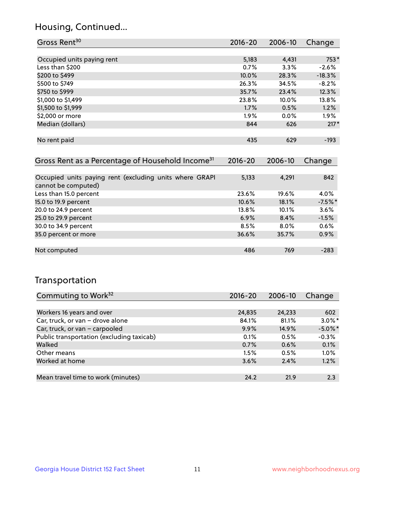### Housing, Continued...

| Gross Rent <sup>30</sup>                                     | 2016-20     | 2006-10     | Change   |
|--------------------------------------------------------------|-------------|-------------|----------|
|                                                              |             |             |          |
| Occupied units paying rent                                   | 5,183       | 4,431       | 753*     |
| Less than \$200                                              | 0.7%        | 3.3%        | $-2.6%$  |
| \$200 to \$499                                               | 10.0%       | 28.3%       | $-18.3%$ |
| \$500 to \$749                                               | 26.3%       | 34.5%       | $-8.2%$  |
| \$750 to \$999                                               | 35.7%       | 23.4%       | 12.3%    |
| \$1,000 to \$1,499                                           | 23.8%       | 10.0%       | 13.8%    |
| \$1,500 to \$1,999                                           | 1.7%        | 0.5%        | 1.2%     |
| \$2,000 or more                                              | 1.9%        | $0.0\%$     | $1.9\%$  |
| Median (dollars)                                             | 844         | 626         | $217*$   |
|                                                              |             |             |          |
| No rent paid                                                 | 435         | 629         | $-193$   |
|                                                              |             |             |          |
| Gross Rent as a Percentage of Household Income <sup>31</sup> | $2016 - 20$ | $2006 - 10$ | Change   |

| <u>Urbsschulden und die Genedige billiogschuld incomp</u>                      |          | <b>LVVV</b> 19 | 11111     |
|--------------------------------------------------------------------------------|----------|----------------|-----------|
|                                                                                |          |                |           |
| Occupied units paying rent (excluding units where GRAPI<br>cannot be computed) | 5,133    | 4,291          | 842       |
|                                                                                |          |                |           |
| Less than 15.0 percent                                                         | 23.6%    | 19.6%          | 4.0%      |
| 15.0 to 19.9 percent                                                           | 10.6%    | 18.1%          | $-7.5%$ * |
| 20.0 to 24.9 percent                                                           | $13.8\%$ | 10.1%          | 3.6%      |
| 25.0 to 29.9 percent                                                           | 6.9%     | 8.4%           | $-1.5%$   |
| 30.0 to 34.9 percent                                                           | 8.5%     | $8.0\%$        | $0.6\%$   |
| 35.0 percent or more                                                           | 36.6%    | 35.7%          | 0.9%      |
|                                                                                |          |                |           |
| Not computed                                                                   | 486      | 769            | $-283$    |

### Transportation

| Commuting to Work <sup>32</sup>           | 2016-20 | 2006-10 | Change     |
|-------------------------------------------|---------|---------|------------|
|                                           |         |         |            |
| Workers 16 years and over                 | 24,835  | 24,233  | 602        |
| Car, truck, or van - drove alone          | 84.1%   | 81.1%   | $3.0\%$ *  |
| Car, truck, or van - carpooled            | 9.9%    | 14.9%   | $-5.0\%$ * |
| Public transportation (excluding taxicab) | 0.1%    | 0.5%    | $-0.3%$    |
| Walked                                    | 0.7%    | 0.6%    | 0.1%       |
| Other means                               | 1.5%    | 0.5%    | 1.0%       |
| Worked at home                            | 3.6%    | 2.4%    | 1.2%       |
|                                           |         |         |            |
| Mean travel time to work (minutes)        | 24.2    | 21.9    | 2.3        |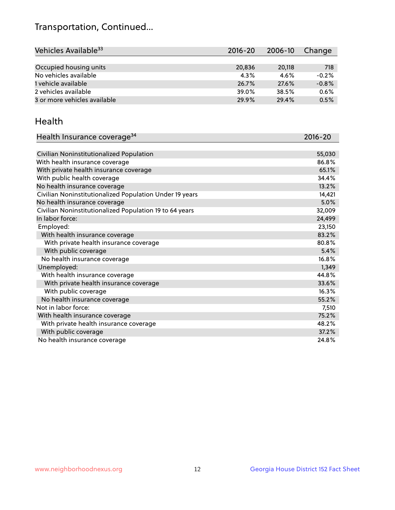## Transportation, Continued...

| Vehicles Available <sup>33</sup> | $2016 - 20$ | 2006-10 | Change  |
|----------------------------------|-------------|---------|---------|
|                                  |             |         |         |
| Occupied housing units           | 20,836      | 20,118  | 718     |
| No vehicles available            | 4.3%        | 4.6%    | $-0.2%$ |
| 1 vehicle available              | 26.7%       | 27.6%   | $-0.8%$ |
| 2 vehicles available             | 39.0%       | 38.5%   | 0.6%    |
| 3 or more vehicles available     | 29.9%       | 29.4%   | 0.5%    |

#### Health

| Health Insurance coverage <sup>34</sup>                 | 2016-20 |
|---------------------------------------------------------|---------|
|                                                         |         |
| Civilian Noninstitutionalized Population                | 55,030  |
| With health insurance coverage                          | 86.8%   |
| With private health insurance coverage                  | 65.1%   |
| With public health coverage                             | 34.4%   |
| No health insurance coverage                            | 13.2%   |
| Civilian Noninstitutionalized Population Under 19 years | 14,421  |
| No health insurance coverage                            | 5.0%    |
| Civilian Noninstitutionalized Population 19 to 64 years | 32,009  |
| In labor force:                                         | 24,499  |
| Employed:                                               | 23,150  |
| With health insurance coverage                          | 83.2%   |
| With private health insurance coverage                  | 80.8%   |
| With public coverage                                    | 5.4%    |
| No health insurance coverage                            | 16.8%   |
| Unemployed:                                             | 1,349   |
| With health insurance coverage                          | 44.8%   |
| With private health insurance coverage                  | 33.6%   |
| With public coverage                                    | 16.3%   |
| No health insurance coverage                            | 55.2%   |
| Not in labor force:                                     | 7,510   |
| With health insurance coverage                          | 75.2%   |
| With private health insurance coverage                  | 48.2%   |
| With public coverage                                    | 37.2%   |
| No health insurance coverage                            | 24.8%   |